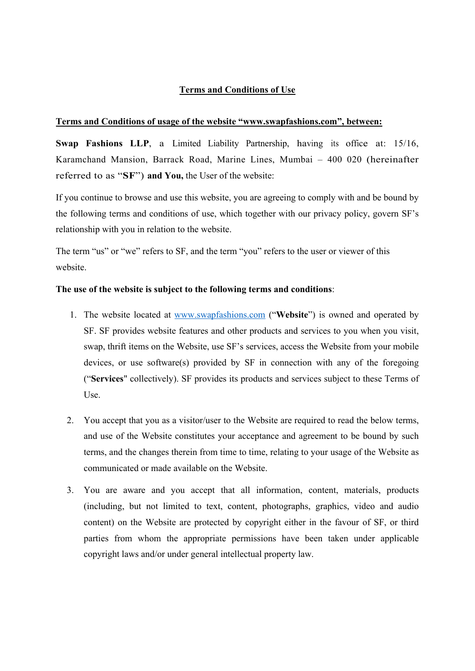# **Terms and Conditions of Use**

## **Terms and Conditions of usage of the website "www.swapfashions.com", between:**

**Swap Fashions LLP**, a Limited Liability Partnership, having its office at: 15/16, Karamchand Mansion, Barrack Road, Marine Lines, Mumbai – 400 020 (hereinafter referred to as "**SF**") **and You,** the User of the website:

If you continue to browse and use this website, you are agreeing to comply with and be bound by the following terms and conditions of use, which together with our privacy policy, govern SF's relationship with you in relation to the website.

The term "us" or "we" refers to SF, and the term "you" refers to the user or viewer of this website.

## **The use of the website is subject to the following terms and conditions**:

- 1. The website located at www.swapfashions.com ("**Website**") is owned and operated by SF. SF provides website features and other products and services to you when you visit, swap, thrift items on the Website, use SF's services, access the Website from your mobile devices, or use software(s) provided by SF in connection with any of the foregoing ("**Services**" collectively). SF provides its products and services subject to these Terms of Use.
- 2. You accept that you as a visitor/user to the Website are required to read the below terms, and use of the Website constitutes your acceptance and agreement to be bound by such terms, and the changes therein from time to time, relating to your usage of the Website as communicated or made available on the Website.
- 3. You are aware and you accept that all information, content, materials, products (including, but not limited to text, content, photographs, graphics, video and audio content) on the Website are protected by copyright either in the favour of SF, or third parties from whom the appropriate permissions have been taken under applicable copyright laws and/or under general intellectual property law.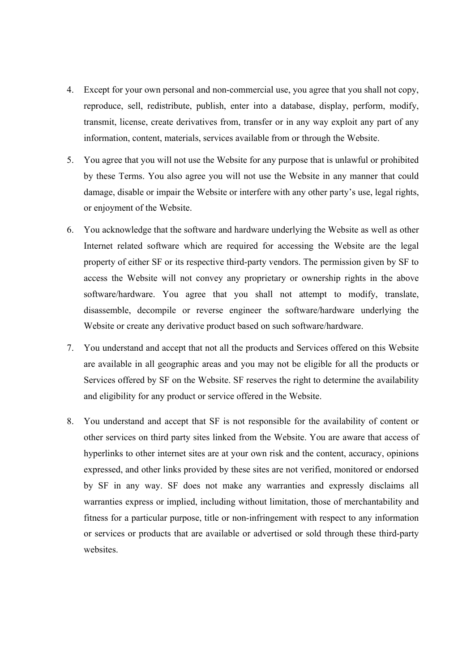- 4. Except for your own personal and non-commercial use, you agree that you shall not copy, reproduce, sell, redistribute, publish, enter into a database, display, perform, modify, transmit, license, create derivatives from, transfer or in any way exploit any part of any information, content, materials, services available from or through the Website.
- 5. You agree that you will not use the Website for any purpose that is unlawful or prohibited by these Terms. You also agree you will not use the Website in any manner that could damage, disable or impair the Website or interfere with any other party's use, legal rights, or enjoyment of the Website.
- 6. You acknowledge that the software and hardware underlying the Website as well as other Internet related software which are required for accessing the Website are the legal property of either SF or its respective third-party vendors. The permission given by SF to access the Website will not convey any proprietary or ownership rights in the above software/hardware. You agree that you shall not attempt to modify, translate, disassemble, decompile or reverse engineer the software/hardware underlying the Website or create any derivative product based on such software/hardware.
- 7. You understand and accept that not all the products and Services offered on this Website are available in all geographic areas and you may not be eligible for all the products or Services offered by SF on the Website. SF reserves the right to determine the availability and eligibility for any product or service offered in the Website.
- 8. You understand and accept that SF is not responsible for the availability of content or other services on third party sites linked from the Website. You are aware that access of hyperlinks to other internet sites are at your own risk and the content, accuracy, opinions expressed, and other links provided by these sites are not verified, monitored or endorsed by SF in any way. SF does not make any warranties and expressly disclaims all warranties express or implied, including without limitation, those of merchantability and fitness for a particular purpose, title or non-infringement with respect to any information or services or products that are available or advertised or sold through these third-party websites.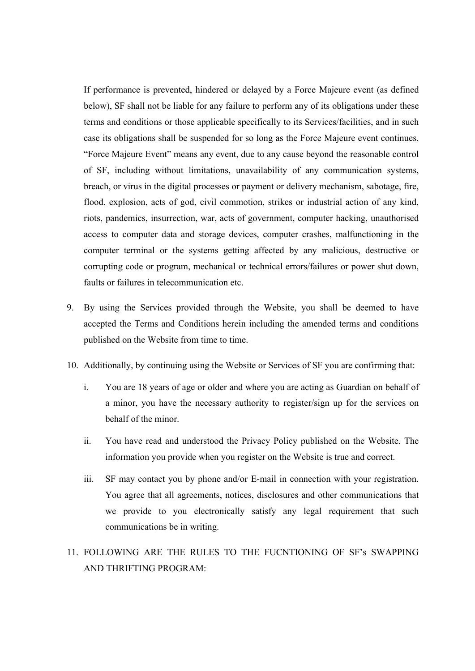If performance is prevented, hindered or delayed by a Force Majeure event (as defined below), SF shall not be liable for any failure to perform any of its obligations under these terms and conditions or those applicable specifically to its Services/facilities, and in such case its obligations shall be suspended for so long as the Force Majeure event continues. "Force Majeure Event" means any event, due to any cause beyond the reasonable control of SF, including without limitations, unavailability of any communication systems, breach, or virus in the digital processes or payment or delivery mechanism, sabotage, fire, flood, explosion, acts of god, civil commotion, strikes or industrial action of any kind, riots, pandemics, insurrection, war, acts of government, computer hacking, unauthorised access to computer data and storage devices, computer crashes, malfunctioning in the computer terminal or the systems getting affected by any malicious, destructive or corrupting code or program, mechanical or technical errors/failures or power shut down, faults or failures in telecommunication etc.

- 9. By using the Services provided through the Website, you shall be deemed to have accepted the Terms and Conditions herein including the amended terms and conditions published on the Website from time to time.
- 10. Additionally, by continuing using the Website or Services of SF you are confirming that:
	- i. You are 18 years of age or older and where you are acting as Guardian on behalf of a minor, you have the necessary authority to register/sign up for the services on behalf of the minor.
	- ii. You have read and understood the Privacy Policy published on the Website. The information you provide when you register on the Website is true and correct.
	- iii. SF may contact you by phone and/or E-mail in connection with your registration. You agree that all agreements, notices, disclosures and other communications that we provide to you electronically satisfy any legal requirement that such communications be in writing.
- 11. FOLLOWING ARE THE RULES TO THE FUCNTIONING OF SF's SWAPPING AND THRIFTING PROGRAM: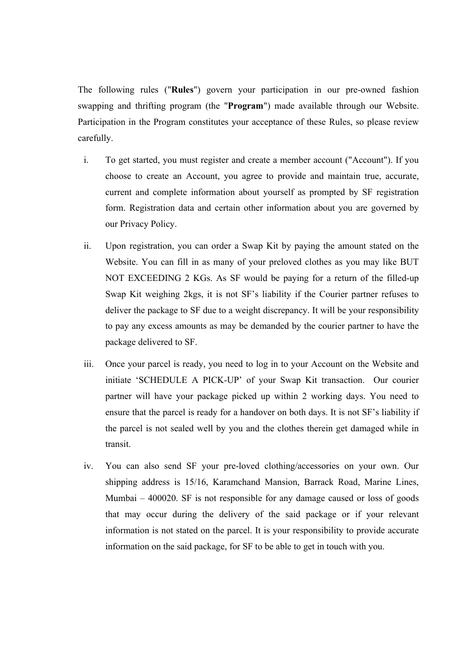The following rules ("**Rules**") govern your participation in our pre-owned fashion swapping and thrifting program (the "**Program**") made available through our Website. Participation in the Program constitutes your acceptance of these Rules, so please review carefully.

- i. To get started, you must register and create a member account ("Account"). If you choose to create an Account, you agree to provide and maintain true, accurate, current and complete information about yourself as prompted by SF registration form. Registration data and certain other information about you are governed by our Privacy Policy.
- ii. Upon registration, you can order a Swap Kit by paying the amount stated on the Website. You can fill in as many of your preloved clothes as you may like BUT NOT EXCEEDING 2 KGs. As SF would be paying for a return of the filled-up Swap Kit weighing 2kgs, it is not SF's liability if the Courier partner refuses to deliver the package to SF due to a weight discrepancy. It will be your responsibility to pay any excess amounts as may be demanded by the courier partner to have the package delivered to SF.
- iii. Once your parcel is ready, you need to log in to your Account on the Website and initiate 'SCHEDULE A PICK-UP' of your Swap Kit transaction. Our courier partner will have your package picked up within 2 working days. You need to ensure that the parcel is ready for a handover on both days. It is not SF's liability if the parcel is not sealed well by you and the clothes therein get damaged while in transit.
- iv. You can also send SF your pre-loved clothing/accessories on your own. Our shipping address is 15/16, Karamchand Mansion, Barrack Road, Marine Lines, Mumbai – 400020. SF is not responsible for any damage caused or loss of goods that may occur during the delivery of the said package or if your relevant information is not stated on the parcel. It is your responsibility to provide accurate information on the said package, for SF to be able to get in touch with you.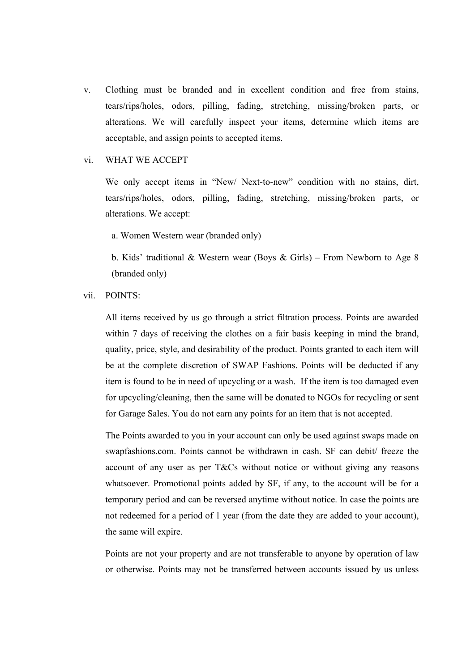v. Clothing must be branded and in excellent condition and free from stains, tears/rips/holes, odors, pilling, fading, stretching, missing/broken parts, or alterations. We will carefully inspect your items, determine which items are acceptable, and assign points to accepted items.

#### vi. WHAT WE ACCEPT

We only accept items in "New/ Next-to-new" condition with no stains, dirt, tears/rips/holes, odors, pilling, fading, stretching, missing/broken parts, or alterations. We accept:

a. Women Western wear (branded only)

b. Kids' traditional & Western wear (Boys & Girls) – From Newborn to Age 8 (branded only)

### vii. POINTS:

All items received by us go through a strict filtration process. Points are awarded within 7 days of receiving the clothes on a fair basis keeping in mind the brand, quality, price, style, and desirability of the product. Points granted to each item will be at the complete discretion of SWAP Fashions. Points will be deducted if any item is found to be in need of upcycling or a wash. If the item is too damaged even for upcycling/cleaning, then the same will be donated to NGOs for recycling or sent for Garage Sales. You do not earn any points for an item that is not accepted.

The Points awarded to you in your account can only be used against swaps made on swapfashions.com. Points cannot be withdrawn in cash. SF can debit/ freeze the account of any user as per T&Cs without notice or without giving any reasons whatsoever. Promotional points added by SF, if any, to the account will be for a temporary period and can be reversed anytime without notice. In case the points are not redeemed for a period of 1 year (from the date they are added to your account), the same will expire.

Points are not your property and are not transferable to anyone by operation of law or otherwise. Points may not be transferred between accounts issued by us unless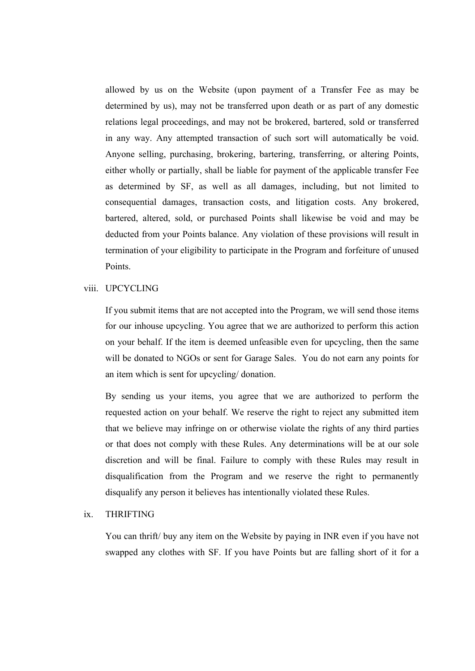allowed by us on the Website (upon payment of a Transfer Fee as may be determined by us), may not be transferred upon death or as part of any domestic relations legal proceedings, and may not be brokered, bartered, sold or transferred in any way. Any attempted transaction of such sort will automatically be void. Anyone selling, purchasing, brokering, bartering, transferring, or altering Points, either wholly or partially, shall be liable for payment of the applicable transfer Fee as determined by SF, as well as all damages, including, but not limited to consequential damages, transaction costs, and litigation costs. Any brokered, bartered, altered, sold, or purchased Points shall likewise be void and may be deducted from your Points balance. Any violation of these provisions will result in termination of your eligibility to participate in the Program and forfeiture of unused Points.

### viii. UPCYCLING

If you submit items that are not accepted into the Program, we will send those items for our inhouse upcycling. You agree that we are authorized to perform this action on your behalf. If the item is deemed unfeasible even for upcycling, then the same will be donated to NGOs or sent for Garage Sales. You do not earn any points for an item which is sent for upcycling/ donation.

By sending us your items, you agree that we are authorized to perform the requested action on your behalf. We reserve the right to reject any submitted item that we believe may infringe on or otherwise violate the rights of any third parties or that does not comply with these Rules. Any determinations will be at our sole discretion and will be final. Failure to comply with these Rules may result in disqualification from the Program and we reserve the right to permanently disqualify any person it believes has intentionally violated these Rules.

#### ix. THRIFTING

You can thrift/ buy any item on the Website by paying in INR even if you have not swapped any clothes with SF. If you have Points but are falling short of it for a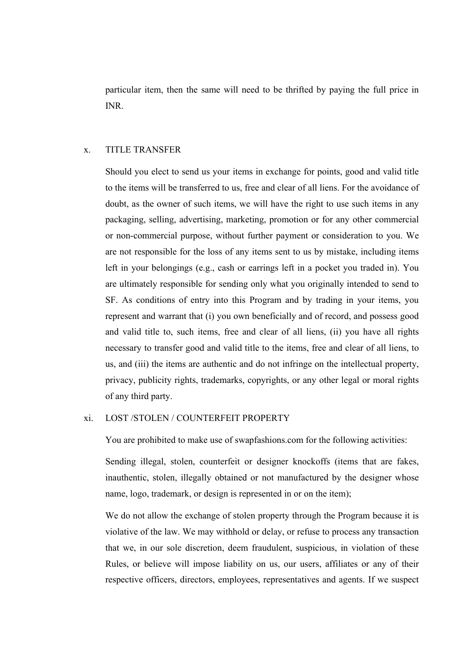particular item, then the same will need to be thrifted by paying the full price in INR.

### x. TITLE TRANSFER

Should you elect to send us your items in exchange for points, good and valid title to the items will be transferred to us, free and clear of all liens. For the avoidance of doubt, as the owner of such items, we will have the right to use such items in any packaging, selling, advertising, marketing, promotion or for any other commercial or non-commercial purpose, without further payment or consideration to you. We are not responsible for the loss of any items sent to us by mistake, including items left in your belongings (e.g., cash or earrings left in a pocket you traded in). You are ultimately responsible for sending only what you originally intended to send to SF. As conditions of entry into this Program and by trading in your items, you represent and warrant that (i) you own beneficially and of record, and possess good and valid title to, such items, free and clear of all liens, (ii) you have all rights necessary to transfer good and valid title to the items, free and clear of all liens, to us, and (iii) the items are authentic and do not infringe on the intellectual property, privacy, publicity rights, trademarks, copyrights, or any other legal or moral rights of any third party.

#### xi. LOST /STOLEN / COUNTERFEIT PROPERTY

You are prohibited to make use of swapfashions.com for the following activities:

Sending illegal, stolen, counterfeit or designer knockoffs (items that are fakes, inauthentic, stolen, illegally obtained or not manufactured by the designer whose name, logo, trademark, or design is represented in or on the item);

We do not allow the exchange of stolen property through the Program because it is violative of the law. We may withhold or delay, or refuse to process any transaction that we, in our sole discretion, deem fraudulent, suspicious, in violation of these Rules, or believe will impose liability on us, our users, affiliates or any of their respective officers, directors, employees, representatives and agents. If we suspect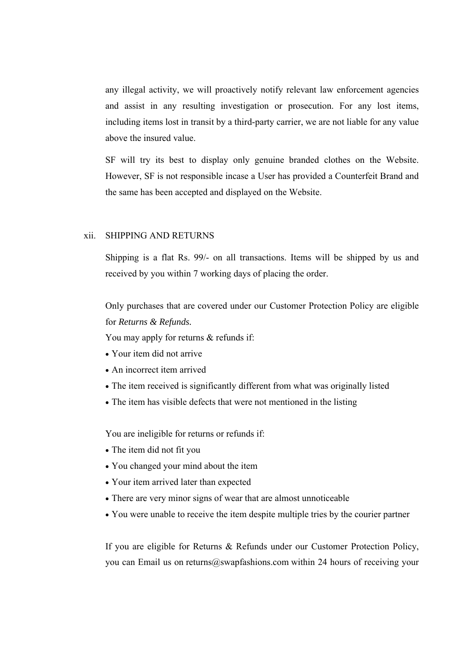any illegal activity, we will proactively notify relevant law enforcement agencies and assist in any resulting investigation or prosecution. For any lost items, including items lost in transit by a third-party carrier, we are not liable for any value above the insured value.

SF will try its best to display only genuine branded clothes on the Website. However, SF is not responsible incase a User has provided a Counterfeit Brand and the same has been accepted and displayed on the Website.

### xii. SHIPPING AND RETURNS

Shipping is a flat Rs. 99/- on all transactions. Items will be shipped by us and received by you within 7 working days of placing the order.

Only purchases that are covered under our Customer Protection Policy are eligible for *Returns & Refunds.*

You may apply for returns & refunds if:

- Your item did not arrive
- An incorrect item arrived
- The item received is significantly different from what was originally listed
- The item has visible defects that were not mentioned in the listing

You are ineligible for returns or refunds if:

- The item did not fit you
- You changed your mind about the item
- Your item arrived later than expected
- There are very minor signs of wear that are almost unnoticeable
- You were unable to receive the item despite multiple tries by the courier partner

If you are eligible for Returns & Refunds under our Customer Protection Policy, you can Email us on returns@swapfashions.com within 24 hours of receiving your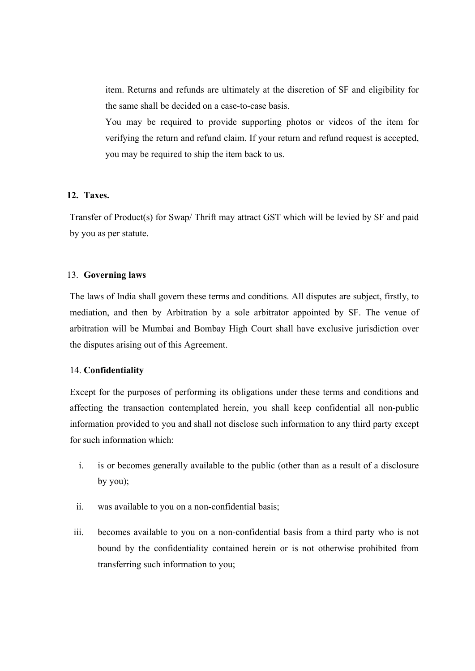item. Returns and refunds are ultimately at the discretion of SF and eligibility for the same shall be decided on a case-to-case basis.

You may be required to provide supporting photos or videos of the item for verifying the return and refund claim. If your return and refund request is accepted, you may be required to ship the item back to us.

### **12. Taxes.**

Transfer of Product(s) for Swap/ Thrift may attract GST which will be levied by SF and paid by you as per statute.

### 13. **Governing laws**

The laws of India shall govern these terms and conditions. All disputes are subject, firstly, to mediation, and then by Arbitration by a sole arbitrator appointed by SF. The venue of arbitration will be Mumbai and Bombay High Court shall have exclusive jurisdiction over the disputes arising out of this Agreement.

#### 14. **Confidentiality**

Except for the purposes of performing its obligations under these terms and conditions and affecting the transaction contemplated herein, you shall keep confidential all non-public information provided to you and shall not disclose such information to any third party except for such information which:

- i. is or becomes generally available to the public (other than as a result of a disclosure by you);
- ii. was available to you on a non-confidential basis;
- iii. becomes available to you on a non-confidential basis from a third party who is not bound by the confidentiality contained herein or is not otherwise prohibited from transferring such information to you;